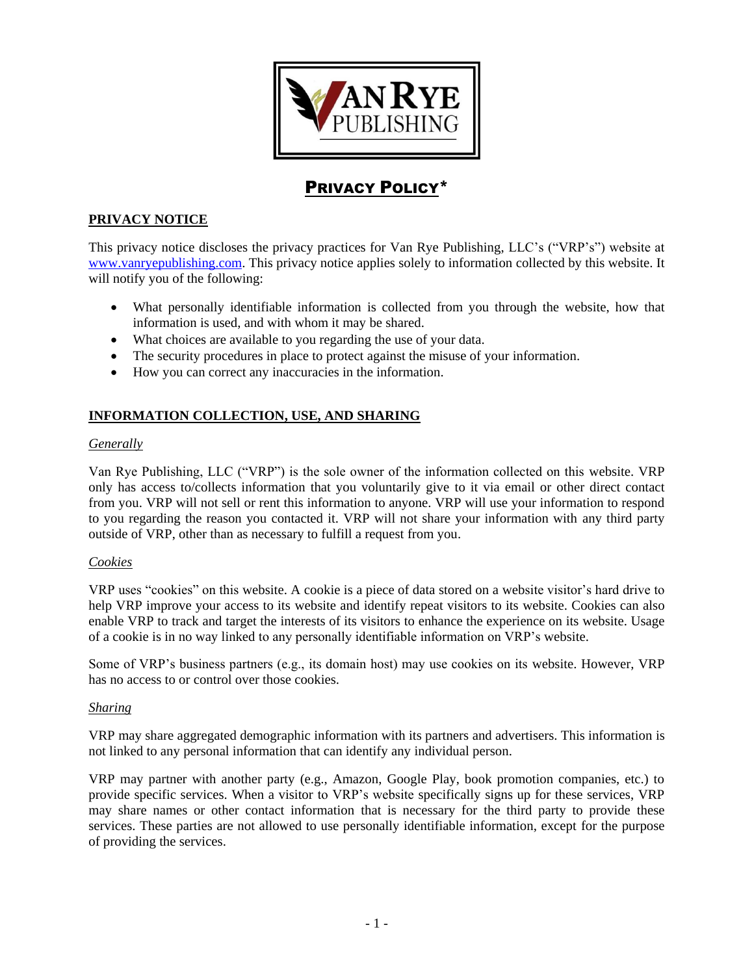

# PRIVACY POLICY\*

# **PRIVACY NOTICE**

This privacy notice discloses the privacy practices for Van Rye Publishing, LLC's ("VRP's") website at [www.vanryepublishing.com.](http://www.vanryepublishing.com/) This privacy notice applies solely to information collected by this website. It will notify you of the following:

- What personally identifiable information is collected from you through the website, how that information is used, and with whom it may be shared.
- What choices are available to you regarding the use of your data.
- The security procedures in place to protect against the misuse of your information.
- How you can correct any inaccuracies in the information.

## **INFORMATION COLLECTION, USE, AND SHARING**

## *Generally*

Van Rye Publishing, LLC ("VRP") is the sole owner of the information collected on this website. VRP only has access to/collects information that you voluntarily give to it via email or other direct contact from you. VRP will not sell or rent this information to anyone. VRP will use your information to respond to you regarding the reason you contacted it. VRP will not share your information with any third party outside of VRP, other than as necessary to fulfill a request from you.

#### *Cookies*

VRP uses "cookies" on this website. A cookie is a piece of data stored on a website visitor's hard drive to help VRP improve your access to its website and identify repeat visitors to its website. Cookies can also enable VRP to track and target the interests of its visitors to enhance the experience on its website. Usage of a cookie is in no way linked to any personally identifiable information on VRP's website.

Some of VRP's business partners (e.g., its domain host) may use cookies on its website. However, VRP has no access to or control over those cookies.

#### *Sharing*

VRP may share aggregated demographic information with its partners and advertisers. This information is not linked to any personal information that can identify any individual person.

VRP may partner with another party (e.g., Amazon, Google Play, book promotion companies, etc.) to provide specific services. When a visitor to VRP's website specifically signs up for these services, VRP may share names or other contact information that is necessary for the third party to provide these services. These parties are not allowed to use personally identifiable information, except for the purpose of providing the services.